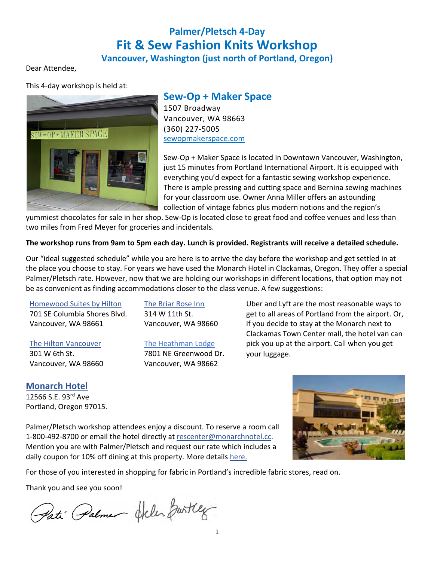# **Palmer/Pletsch 4-Day Fit & Sew Fashion Knits Workshop**

### **Vancouver, Washington (just north of Portland, Oregon)**

Dear Attendee,

This 4-day workshop is held at:



**Sew-Op + Maker Space** 1507 Broadway

Vancouver, WA 98663 (360) 227-5005 sewopmakerspace.com

Sew-Op + Maker Space is located in Downtown Vancouver, Washington, just 15 minutes from Portland International Airport. It is equipped with everything you'd expect for a fantastic sewing workshop experience. There is ample pressing and cutting space and Bernina sewing machines for your classroom use. Owner Anna Miller offers an astounding collection of vintage fabrics plus modern notions and the region's

yummiest chocolates for sale in her shop. Sew-Op is located close to great food and coffee venues and less than two miles from Fred Meyer for groceries and incidentals.

**The workshop runs from 9am to 5pm each day. Lunch is provided. Registrants will receive a detailed schedule.**

Our "ideal suggested schedule" while you are here is to arrive the day before the workshop and get settled in at the place you choose to stay. For years we have used the Monarch Hotel in Clackamas, Oregon. They offer a special Palmer/Pletsch rate. However, now that we are holding our workshops in different locations, that option may not be as convenient as finding accommodations closer to the class venue. A few suggestions:

#### Homewood Suites by Hilton

701 SE Columbia Shores Blvd. Vancouver, WA 98661

#### The Hilton Vancouver

301 W 6th St. Vancouver, WA 98660

### 314 W 11th St. Vancouver, WA 98660

The Briar Rose Inn

The Heathman Lodge 7801 NE Greenwood Dr. Vancouver, WA 98662

Uber and Lyft are the most reasonable ways to get to all areas of Portland from the airport. Or, if you decide to stay at the Monarch next to Clackamas Town Center mall, the hotel van can pick you up at the airport. Call when you get your luggage.

**Monarch Hotel** 12566 S.E. 93rd Ave Portland, Oregon 97015.

Palmer/Pletsch workshop attendees enjoy a discount. To reserve a room call 1-800-492-8700 or email the hotel directly at rescenter@monarchnotel.cc. Mention you are with Palmer/Pletsch and request our rate which includes a daily coupon for 10% off dining at this property. More details here.

For those of you interested in shopping for fabric in Portland's incredible fabric stores, read on.

Thank you and see you soon!

Pati Palmer Helen Bartley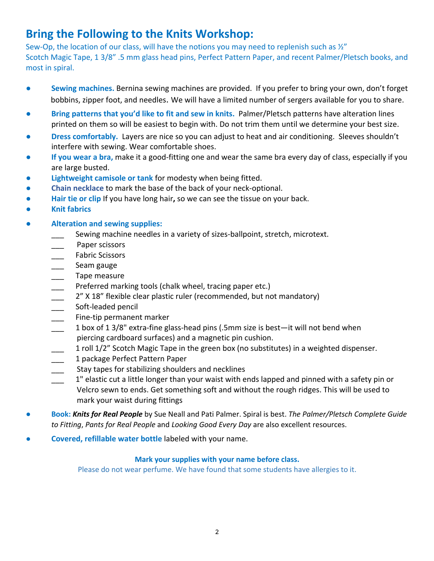# **Bring the Following to the Knits Workshop:**

Sew-Op, the location of our class, will have the notions you may need to replenish such as  $\frac{1}{2}$ Scotch Magic Tape, 1 3/8" .5 mm glass head pins, Perfect Pattern Paper, and recent Palmer/Pletsch books, and most in spiral.

- **Sewing machines.** Bernina sewing machines are provided. If you prefer to bring your own, don't forget bobbins, zipper foot, and needles. We will have a limited number of sergers available for you to share.
- **Bring patterns that you'd like to fit and sew in knits. Palmer/Pletsch patterns have alteration lines** printed on them so will be easiest to begin with. Do not trim them until we determine your best size.
- **Dress comfortably.** Layers are nice so you can adjust to heat and air conditioning. Sleeves shouldn't interfere with sewing. Wear comfortable shoes.
- **If you wear a bra,** make it a good-fitting one and wear the same bra every day of class, especially if you are large busted.
- **Lightweight camisole or tank** for modesty when being fitted.
- **Chain necklace** to mark the base of the back of your neck-optional.
- **● Hair tie or clip** If you have long hair**,** so we can see the tissue on your back.
- **Knit fabrics**
- **● Alteration and sewing supplies:**
	- Sewing machine needles in a variety of sizes-ballpoint, stretch, microtext.
	- Paper scissors
	- Fabric Scissors
	- Seam gauge
	- \_\_\_ Tape measure
	- \_\_\_ Preferred marking tools (chalk wheel, tracing paper etc.)
	- 2" X 18" flexible clear plastic ruler (recommended, but not mandatory)
	- \_\_\_\_\_ Soft-leaded pencil
	- \_\_\_ Fine-tip permanent marker
	- \_\_\_ 1 box of 1 3/8" extra-fine glass-head pins (.5mm size is best—it will not bend when piercing cardboard surfaces) and a magnetic pin cushion.
	- 1 roll 1/2" Scotch Magic Tape in the green box (no substitutes) in a weighted dispenser.
	- 1 package Perfect Pattern Paper
	- Stay tapes for stabilizing shoulders and necklines
	- 1" elastic cut a little longer than your waist with ends lapped and pinned with a safety pin or Velcro sewn to ends. Get something soft and without the rough ridges. This will be used to mark your waist during fittings
- **Book:** *Knits for Real People* by Sue Neall and Pati Palmer. Spiral is best. *The Palmer/Pletsch Complete Guide to Fitting*, *Pants for Real People* and *Looking Good Every Day* are also excellent resources.
- **Covered, refillable water bottle** labeled with your name.

### **Mark your supplies with your name before class.**

Please do not wear perfume. We have found that some students have allergies to it.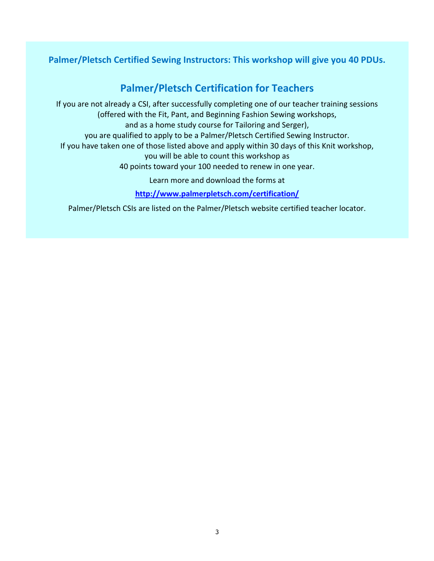## **Palmer/Pletsch Certified Sewing Instructors: This workshop will give you 40 PDUs.**

# **Palmer/Pletsch Certification for Teachers**

If you are not already a CSI, after successfully completing one of our teacher training sessions (offered with the Fit, Pant, and Beginning Fashion Sewing workshops, and as a home study course for Tailoring and Serger), you are qualified to apply to be a Palmer/Pletsch Certified Sewing Instructor. If you have taken one of those listed above and apply within 30 days of this Knit workshop, you will be able to count this workshop as 40 points toward your 100 needed to renew in one year. Learn more and download the forms at **http://www.palmerpletsch.com/certification/**

Palmer/Pletsch CSIs are listed on the Palmer/Pletsch website certified teacher locator.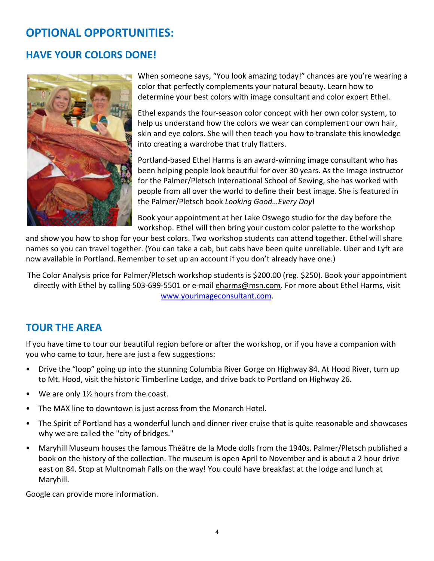# **OPTIONAL OPPORTUNITIES:**

# **HAVE YOUR COLORS DONE!**



When someone says, "You look amazing today!" chances are you're wearing a color that perfectly complements your natural beauty. Learn how to determine your best colors with image consultant and color expert Ethel.

Ethel expands the four-season color concept with her own color system, to help us understand how the colors we wear can complement our own hair, skin and eye colors. She will then teach you how to translate this knowledge into creating a wardrobe that truly flatters.

Portland-based Ethel Harms is an award-winning image consultant who has been helping people look beautiful for over 30 years. As the Image instructor for the Palmer/Pletsch International School of Sewing, she has worked with people from all over the world to define their best image. She is featured in the Palmer/Pletsch book *Looking Good…Every Day*!

Book your appointment at her Lake Oswego studio for the day before the workshop. Ethel will then bring your custom color palette to the workshop

and show you how to shop for your best colors. Two workshop students can attend together. Ethel will share names so you can travel together. (You can take a cab, but cabs have been quite unreliable. Uber and Lyft are now available in Portland. Remember to set up an account if you don't already have one.)

The Color Analysis price for Palmer/Pletsch workshop students is \$200.00 (reg. \$250). Book your appointment directly with Ethel by calling 503-699-5501 or e-mail eharms@msn.com. For more about Ethel Harms, visit www.yourimageconsultant.com.

# **TOUR THE AREA**

If you have time to tour our beautiful region before or after the workshop, or if you have a companion with you who came to tour, here are just a few suggestions:

- Drive the "loop" going up into the stunning Columbia River Gorge on Highway 84. At Hood River, turn up to Mt. Hood, visit the historic Timberline Lodge, and drive back to Portland on Highway 26.
- We are only  $1\frac{1}{2}$  hours from the coast.
- The MAX line to downtown is just across from the Monarch Hotel.
- The Spirit of Portland has a wonderful lunch and dinner river cruise that is quite reasonable and showcases why we are called the "city of bridges."
- Maryhill Museum houses the famous Théâtre de la Mode dolls from the 1940s. Palmer/Pletsch published a book on the history of the collection. The museum is open April to November and is about a 2 hour drive east on 84. Stop at Multnomah Falls on the way! You could have breakfast at the lodge and lunch at Maryhill.

Google can provide more information.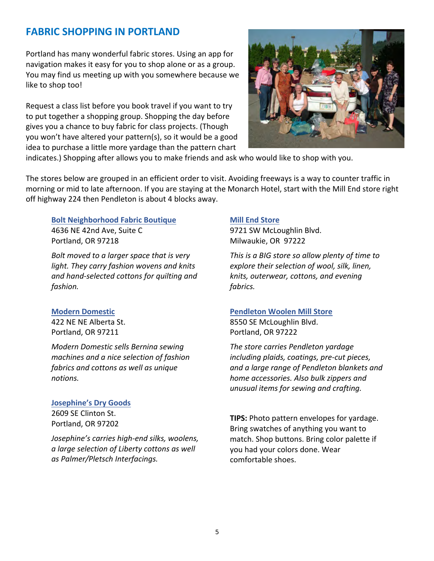## **FABRIC SHOPPING IN PORTLAND**

Portland has many wonderful fabric stores. Using an app for navigation makes it easy for you to shop alone or as a group. You may find us meeting up with you somewhere because we like to shop too!

Request a class list before you book travel if you want to try to put together a shopping group. Shopping the day before gives you a chance to buy fabric for class projects. (Though you won't have altered your pattern(s), so it would be a good idea to purchase a little more yardage than the pattern chart



indicates.) Shopping after allows you to make friends and ask who would like to shop with you.

The stores below are grouped in an efficient order to visit. Avoiding freeways is a way to counter traffic in morning or mid to late afternoon. If you are staying at the Monarch Hotel, start with the Mill End store right off highway 224 then Pendleton is about 4 blocks away.

**Bolt Neighborhood Fabric Boutique** 4636 NE 42nd Ave, Suite C Portland, OR 97218

*Bolt moved to a larger space that is very light. They carry fashion wovens and knits and hand-selected cottons for quilting and fashion.*

#### **Modern Domestic**

422 NE NE Alberta St. Portland, OR 97211

*Modern Domestic sells Bernina sewing machines and a nice selection of fashion fabrics and cottons as well as unique notions.* 

#### **Josephine's Dry Goods**

2609 SE Clinton St. Portland, OR 97202

*Josephine's carries high-end silks, woolens, a large selection of Liberty cottons as well as Palmer/Pletsch Interfacings.*

#### **Mill End Store**

9721 SW McLoughlin Blvd. Milwaukie, OR 97222

*This is a BIG store so allow plenty of time to explore their selection of wool, silk, linen, knits, outerwear, cottons, and evening fabrics.*

#### **Pendleton Woolen Mill Store**

8550 SE McLoughlin Blvd. Portland, OR 97222

*The store carries Pendleton yardage including plaids, coatings, pre-cut pieces, and a large range of Pendleton blankets and home accessories. Also bulk zippers and unusual items for sewing and crafting.*

**TIPS:** Photo pattern envelopes for yardage. Bring swatches of anything you want to match. Shop buttons. Bring color palette if you had your colors done. Wear comfortable shoes.